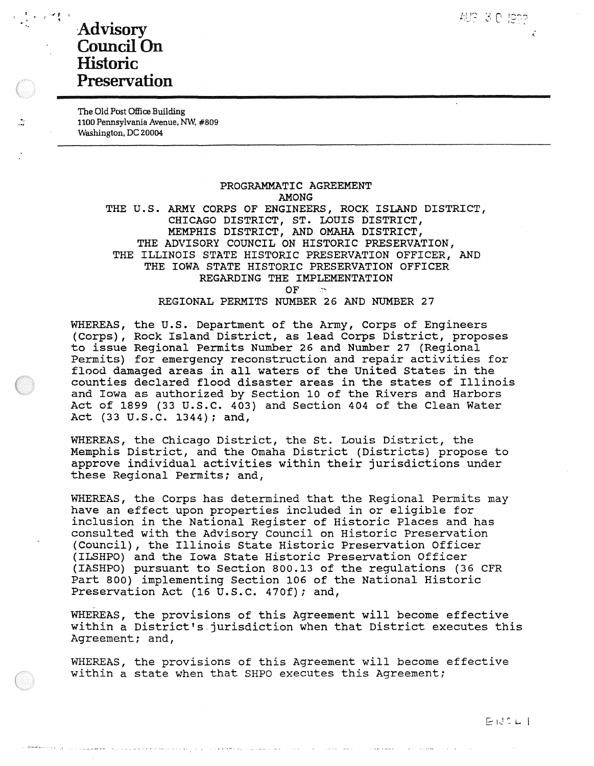## <sup>7</sup>. Advisory Council On Historic Preservation

The Old Post Office Building 1100 Pennsylvania Avenue, Nw, #809 Washington, DC 20004

> **PROGRAMMATIC AGREEMENT AMONG THE U.S. ARMY CORPS OF ENGINEERS, ROCK ISLAND DISTRICT, CHICAGO DISTRICT, ST. LOUIS DISTRICT, MEMPHIS DISTRICT, AND OMAHA DISTRICT,**  THE **ADVISORY COUNCIL ON HISTORIC PRESERVATION,**  THE **ILLINOIS STATE** HISTORIC **PRESERVATION** OFFICER, AND THE **IOWA** STATE HISTORIC PRESERVATION OFFICER REGARDING THE IMPLEMENTATION  $OF \rightarrow$ REGIONAL PERMITS NUMBER 26 AND NUMBER 27

WHEREAS, the U.S. Department of the Army, Corps of Engineers (Corps), Rock Island District, as lead Corps District, proposes to issue Regional Permits Number 26 and Number 27 (Regional Permits) for emergency reconstruction and repair activities for flood damaged areas in all waters of the United States in the counties declared flood disaster areas in the states of Illinois and Iowa as authorized by Section 10 of the Rivers and Harbors Act of 1899 (33 u.s.c. 403) and Section 404 of the Clean Water Act (33 u.s.c. 1344); and,

WHEREAS, the Chicago District, the St. Louis District, the Memphis District, and the Omaha District (Districts) propose to approve individual activities within their jurisdictions under these Regional Permits; and,

WHEREAS, the Corps has determined that the Regional Permits may have an effect upon properties included in or eligible for inclusion in the National Register of Historic Places and has consulted with the Advisory Council on Historic Preservation (Council), the Illinois State Historic Preservation Officer (ILSHPO) and the Iowa State Historic Preservation Officer (IASHPO) pursuant to Section 800.13 of the regulations (36 CFR Part 800) implementing Section 106 of the National Historic Preservation Act (16 U.S.C. 470f); and,

WHEREAS, the provisions of this Agreement will become effective within a District's.jurisdiction when that District executes this Agreement; and,

WHEREAS, the provisions of this Agreement will become effective within a state when that SHPO executes this Agreement;

1,,.... ~\_; c! I,~ ........... \....-\ ;...., \_,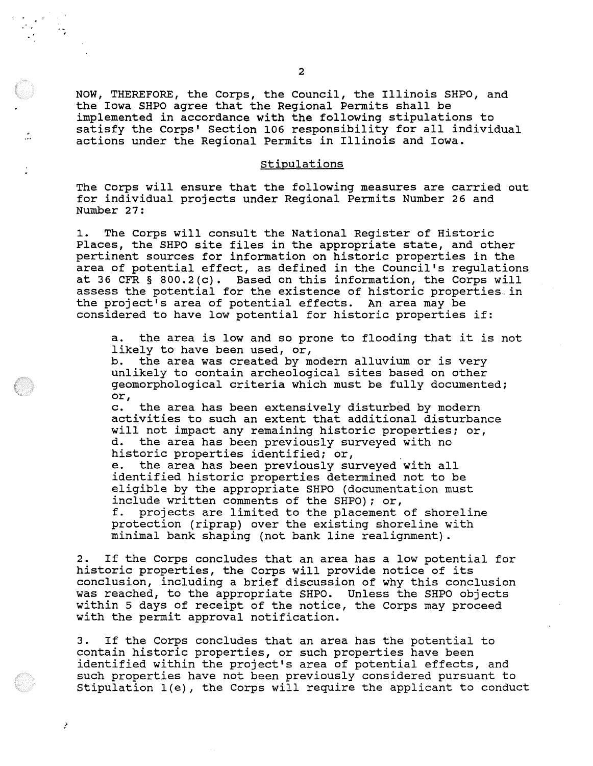NOW, THEREFORE, the Corps, the Council, the Illinois SHPO, and the Iowa SHPO agree that the Regional Permits shall be implemented in accordance with the following stipulations to satisfy the Corps' Section 106 responsibility for all individual actions under the Regional Permits in Illinois and Iowa.

## stipulations

The Corps will ensure that the following measures are carried out for individual projects under Regional Permits Number 26 and Number 27:

1. The Corps will consult the National Register of Historic Places, the SHPO site files in the appropriate state, and other pertinent sources for information on historic properties in the area of potential effect, as defined in the Council's regulations at 36 CFR § 800.2(c). Based on this information, the Corps will assess the potential for the existence of historic properties in the project's area of potential effects. An area may be considered to have low potential for historic properties if:

a. the area is low and so prone to flooding that it is not likely to have been used, or,

b. the area was created by modern alluvium or is very unlikely to contain archeological sites based on other geomorphological criteria which must be fully documented; or,

c. the area has been extensively disturbed by modern activities to such an extent that additional disturbance will not impact any remaining historic properties; or,<br>d. the area has been previously surveyed with no d. the area has been previously surveyed with no historic properties identified; or,

e. the area has been previously surveyed with all identified historic properties determined not to be eligible by the appropriate SHPO (documentation must include written comments of the SHPO); or, f. projects are limited to the placement of shoreline protection (riprap) over the existing shoreline with minimal bank shaping (not bank line realignment).

2. If the Corps concludes that an area has a low potential for historic properties, the Corps will provide notice of its conclusion, including a brief discussion of why this conclusion was reached, to the appropriate SHPO. Unless the SHPO objects within 5 days of receipt of the notice, the Corps may proceed with the permit approval notification.

3. If the Corps concludes that an area has the potential to contain historic properties, or such properties have been identified within the project's area of potential effects, and such properties have not been previously considered pursuant to stipulation l(e), the Corps will require the applicant to conduct

r,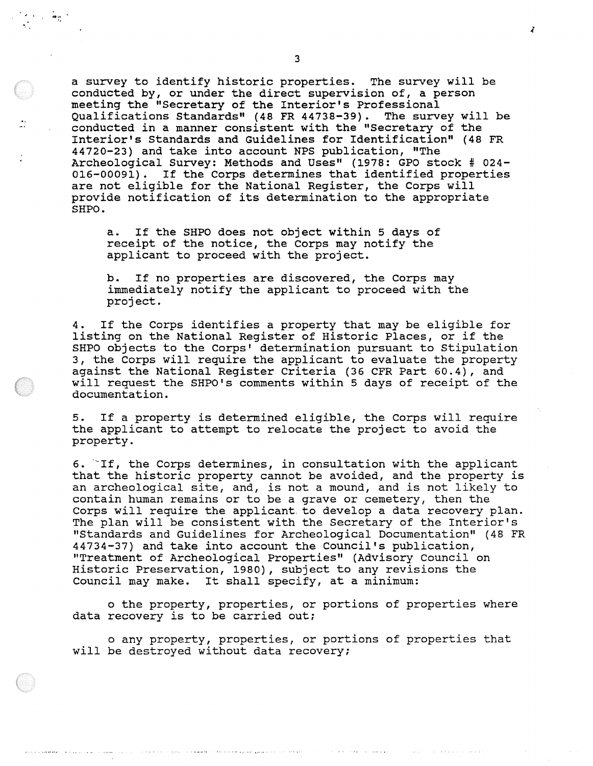a survey to identify historic properties. The survey will be conducted by, or under the direct supervision of, a person meeting the "Secretary of the Interior's Professional Qualifications Standards" (48 FR 44738-39). The survey will be conducted in a manner consistent with the "Secretary of the Interior's Standards and Guidelines for Identification" (48 FR 44720-23) and take into account NPS publication, "The Archeological Survey: Methods and Uses" (1978: GPO stock # 024-016-00091). If the Corps determines that identified properties are not eligible for the National Register, the Corps will provide notification of its determination to the appropriate SHPO.

a. If the SHPO does not object within 5 days of receipt of the notice, the Corps may notify the applicant to proceed with the project.

b. If no properties are discovered, the Corps may immediately notify the applicant to proceed with the project.

4. If the Corps identifies a property that may be eligible for listing on the National Register of Historic Places, or if the SHPO objects to the Corps' determination pursuant to Stipulation 3, the Corps will require the applicant to evaluate the property against the National Register Criteria (36 CFR Part 60.4), and will request the SHPO's comments within 5 days of receipt of the documentation.

5. If a property is determined eligible, the Corps will require the applicant to attempt to relocate the project to avoid the property.

6.  $\mathbb{T}$  If, the Corps determines, in consultation with the applicant that the historic property cannot be avoided, and the property is an archeological site, and, is not a mound, and is not likely to contain human remains or to be a grave or cemetery, then the Corps will require the applicant. to develop a data recovery plan. The plan will be consistent with the Secretary of the Interior's "Standards and Guidelines for Archeological Documentation" (48 FR 44734-37) and take into account the Council's publication, "Treatment of Archeological Properties" (Advisory Council on Historic Preservation, 1980), subject to any revisions the Council may make. It shall specify, at a minimum:

o the property, properties, or portions of properties where data recovery is to be carried out;

o any property, properties, or portions of properties that will be destroyed without data recovery;

3

 $\boldsymbol{t}$ 

..... '•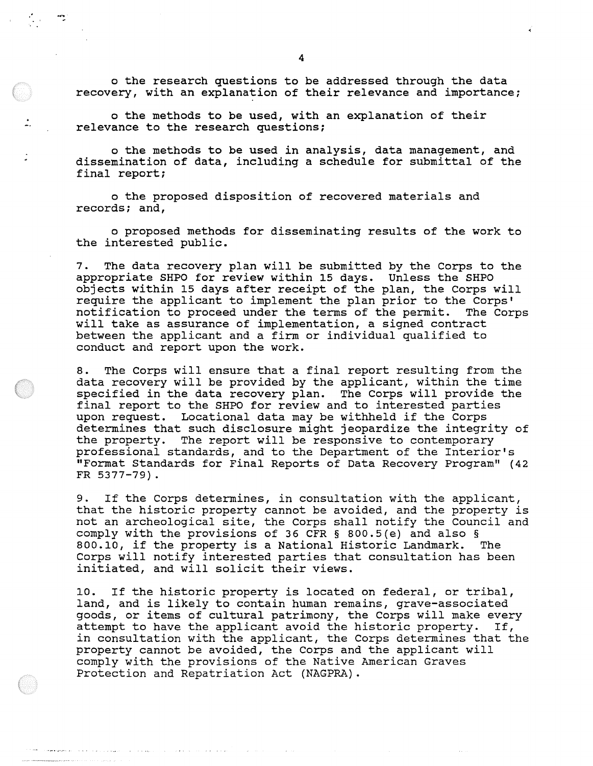o the research questions to be addressed through the data recovery, with an explanation of their relevance and importance;

o the methods to be used, with an explanation of their relevance to the research questions;

 $\frac{1}{2}$ 

o the methods to be used in analysis, data management, and dissemination of data, including a schedule for submittal of the final report;

o the proposed disposition of recovered materials and records; and,

o proposed methods for disseminating results of the work to the interested public.

7. The data recovery plan will be submitted by the Corps to the appropriate SHPO for review within 15 days. Unless the SHPO objects within 15 days after receipt of the plan, the Corps will require the applicant to implement the plan prior to the Corps' notification to proceed under the terms of the permit. The Corps will take as assurance of implementation, a signed contract between the applicant and a firm or individual qualified to conduct and report upon the work.

8. The Corps will ensure that a final report resulting from the data recovery will be provided by the applicant, within the time specified in the data recovery plan. The Corps will provide the final report to the SHPO for review and to interested parties upon request. Locational data may be withheld if the Corps determines that such disclosure might jeopardize the integrity of the property. The report will be responsive to contemporary professional standards, and to the Department of the Interior's "Format Standards for Final Reports of Data Recovery Program" (42 FR 5377-79).

9. If the Corps determines, in consultation with the applicant, that the historic property cannot be avoided, and the property is not an archeological site, the Corps shall notify the Council and comply with the provisions of 36 CFR § 800.5(e) and also §<br>800.10. if the property is a National Historic Landmark. The 800.10, if the property is a National Historic Landmark. Corps will notify interested parties that consultation has been initiated, and will solicit their views.

10. If the historic property is located on federal, or tribal, land, and is likely to contain human remains, grave-associated goods, or items of cultural patrimony, the Corps will make every attempt to have the applicant avoid the historic property. If, in consultation with the applicant, the Corps determines that the property cannot be avoided, the Corps and the applicant will comply with the provisions of the Native American Graves Protection and Repatriation Act (NAGPRA).

المواجهة والمعارف والمتحاف والمتحارث والهواوي والمتحدث

complete particular

وللهوان عابدان الانتاج الحالمانة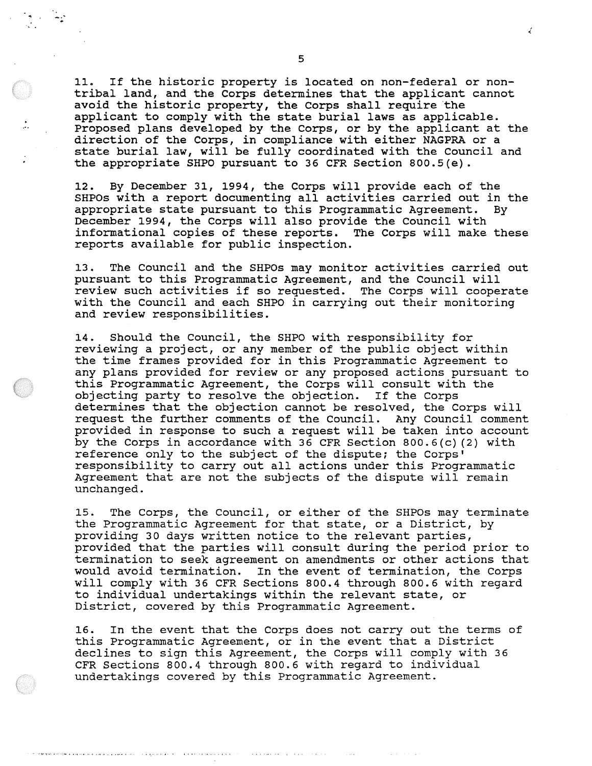11. If the historic property is located on non-federal or nontribal land, and the Corps determines that the applicant cannot avoid the historic property, the Corps shall require the applicant to comply with the state burial laws as applicable. Proposed plans developed by the Corps, or by the applicant at the direction of the Corps, in compliance with either NAGPRA or a state burial law, will be fully coordinated with the Council and the appropriate SHPO pursuant to 36 CFR Section 800.S(e).

12. By December 31, 1994, the Corps will provide each of the SHPOs with a report documenting all activities carried out in the appropriate state pursuant to this Programmatic Agreement. December 1994, the Corps will also provide the Council with informational copies of these reports. The Corps will make these reports available for public inspection.

13. The Council and the SHPOs may monitor activities carried out pursuant to this Programmatic Agreement, and the Council will review such activities if so requested. The Corps will cooperate with the Council and each SHPO in carrying out their monitoring and review responsibilities.

14. Should the Council, the SHPO with responsibility for reviewing a project, or any member of the public object within the time frames provided for in this Programmatic Agreement to any plans provided for review or any proposed actions pursuant to this Programmatic Agreement, the Corps will consult with the objecting party to resolve the objection. If the Corps determines that the objection cannot be resolved, the Corps will request the further comments of the Council. Any Council comment provided in response to such a request will be taken into account by the Corps in accordance with 36 CFR Section 800.6{c) (2) with reference only to the subject of the dispute; the Corps' responsibility to carry out all actions under this Programmatic Agreement that are not the subjects of the dispute will remain unchanged.

15. The Corps, the Council, or either of the SHPOs may terminate the Programmatic Agreement for that state, or a District, by providing 30 days written notice to the relevant parties, provided that the parties will consult during the period prior to termination to seek agreement on amendments or other actions that would avoid termination. In the event of termination, the Corps will comply with 36 CFR Sections 800.4 through 800.6 with regard to individual undertakings within the relevant state, or District, covered by this Programmatic Agreement.

16. In the event that the Corps does not carry out the terms of this Programmatic Agreement, or in the event that a District declines to sign this Agreement, the Corps will comply with 36 CFR Sections 800.4 through 800.6 with regard to individual undertakings covered by this Programmatic Agreement.

5

₹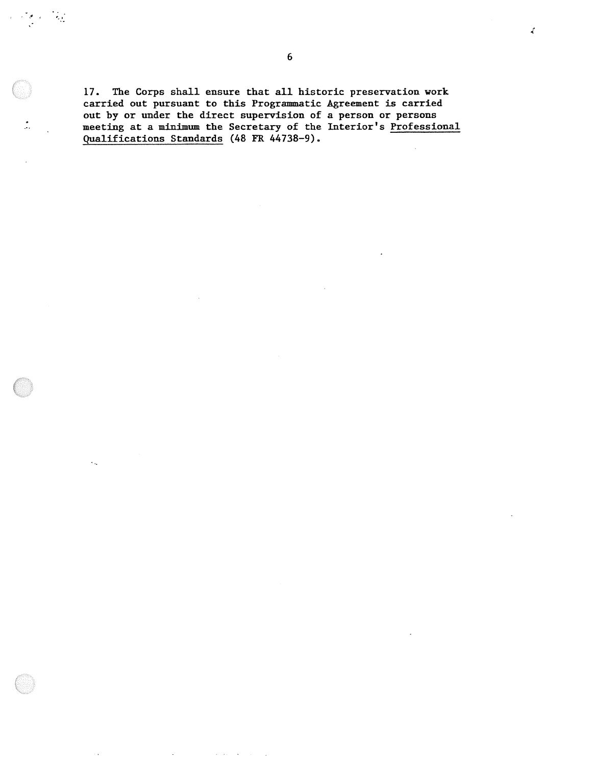17. The Corps shall ensure that all historic preservation work carried out pursuant to this Programmatic Agreement is carried out by or under the direct supervision of a person or persons meeting at a minimum the Secretary of the Interior's Professional Qualifications Standards (48 FR 44738-9).

 $\mathcal{L}_{\mathcal{G}}$ 

 $\hat{\mathcal{C}}_{\text{in}}$ 

 $\mathcal{A} \rightarrow \mathcal{A}$ 

 $\vec{A}$ 

 $\sim$   $\sim$  $\sim$